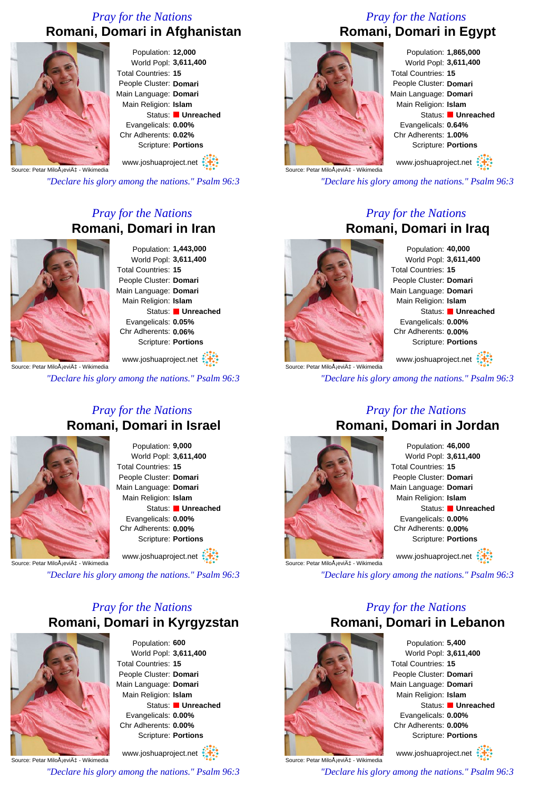# *Pray for the Nations* **Romani, Domari in Afghanistan**



Population: **12,000** World Popl: **3,611,400** Total Countries: **15** People Cluster: **Domari** Main Language: **Domari** Main Religion: **Islam** Status: **Unreached** Evangelicals: **0.00%** Chr Adherents: **0.02%** Scripture: **Portions**

www.joshuaproject.net

Source: Petar MiloÅieviı - Wikimedia

*"Declare his glory among the nations." Psalm 96:3*

## *Pray for the Nations* **Romani, Domari in Iran**



Population: **1,443,000** World Popl: **3,611,400** Total Countries: **15** People Cluster: **Domari** Main Language: **Domari** Main Religion: **Islam** Status: **Unreached** Evangelicals: **0.05%** Chr Adherents: **0.06%** Scripture: **Portions**

Source: Petar MiloÅjević - Wikimedia www.joshuaproject.net

*"Declare his glory among the nations." Psalm 96:3*

#### *Pray for the Nations* **Romani, Domari in Israel**



Population: **9,000** World Popl: **3,611,400** Total Countries: **15** People Cluster: **Domari** Main Language: **Domari** Main Religion: **Islam** Status: **Unreached** Evangelicals: **0.00%** Chr Adherents: **0.00%** Scripture: **Portions**

www.joshuaproject.net

Source: Petar MiloÂiević - Wikimedia

*"Declare his glory among the nations." Psalm 96:3*

## *Pray for the Nations* **Romani, Domari in Kyrgyzstan**



Population: **600** World Popl: **3,611,400** Total Countries: **15** People Cluster: **Domari** Main Language: **Domari** Main Religion: **Islam** Status: **Unreached** Evangelicals: **0.00%** Chr Adherents: **0.00%** Scripture: **Portions**

Source: Petar MiloÅ<sub>i</sub>ević - Wikimedia www.joshuaproject.net

*"Declare his glory among the nations." Psalm 96:3*

# *Pray for the Nations* **Romani, Domari in Egypt**



Population: **1,865,000** World Popl: **3,611,400** Total Countries: **15** People Cluster: **Domari** Main Language: **Domari** Main Religion: **Islam** Status: **Unreached** Evangelicals: **0.64%** Chr Adherents: **1.00%** Scripture: **Portions**

www.joshuaproject.net

*"Declare his glory among the nations." Psalm 96:3*

#### *Pray for the Nations* **Romani, Domari in Iraq**



Source: Petar MiloÂiević - Wikimedia

Population: **40,000** World Popl: **3,611,400** Total Countries: **15** People Cluster: **Domari** Main Language: **Domari** Main Religion: **Islam** Status: **Unreached** Evangelicals: **0.00%** Chr Adherents: **0.00%** Scripture: **Portions** www.joshuaproject.net

*"Declare his glory among the nations." Psalm 96:3*

#### *Pray for the Nations* **Romani, Domari in Jordan**



Population: **46,000** World Popl: **3,611,400** Total Countries: **15** People Cluster: **Domari** Main Language: **Domari** Main Religion: **Islam** Status: **Unreached** Evangelicals: **0.00%** Chr Adherents: **0.00%** Scripture: **Portions** www.joshuaproject.net

*"Declare his glory among the nations." Psalm 96:3*

#### *Pray for the Nations* **Romani, Domari in Lebanon**



Source: Petar MiloÅ<sub>i</sub>ević - Wikimedia

Population: **5,400** World Popl: **3,611,400** Total Countries: **15** People Cluster: **Domari** Main Language: **Domari** Main Religion: **Islam** Status: **Unreached** Evangelicals: **0.00%** Chr Adherents: **0.00%** Scripture: **Portions**

www.joshuaproject.net

*"Declare his glory among the nations." Psalm 96:3*